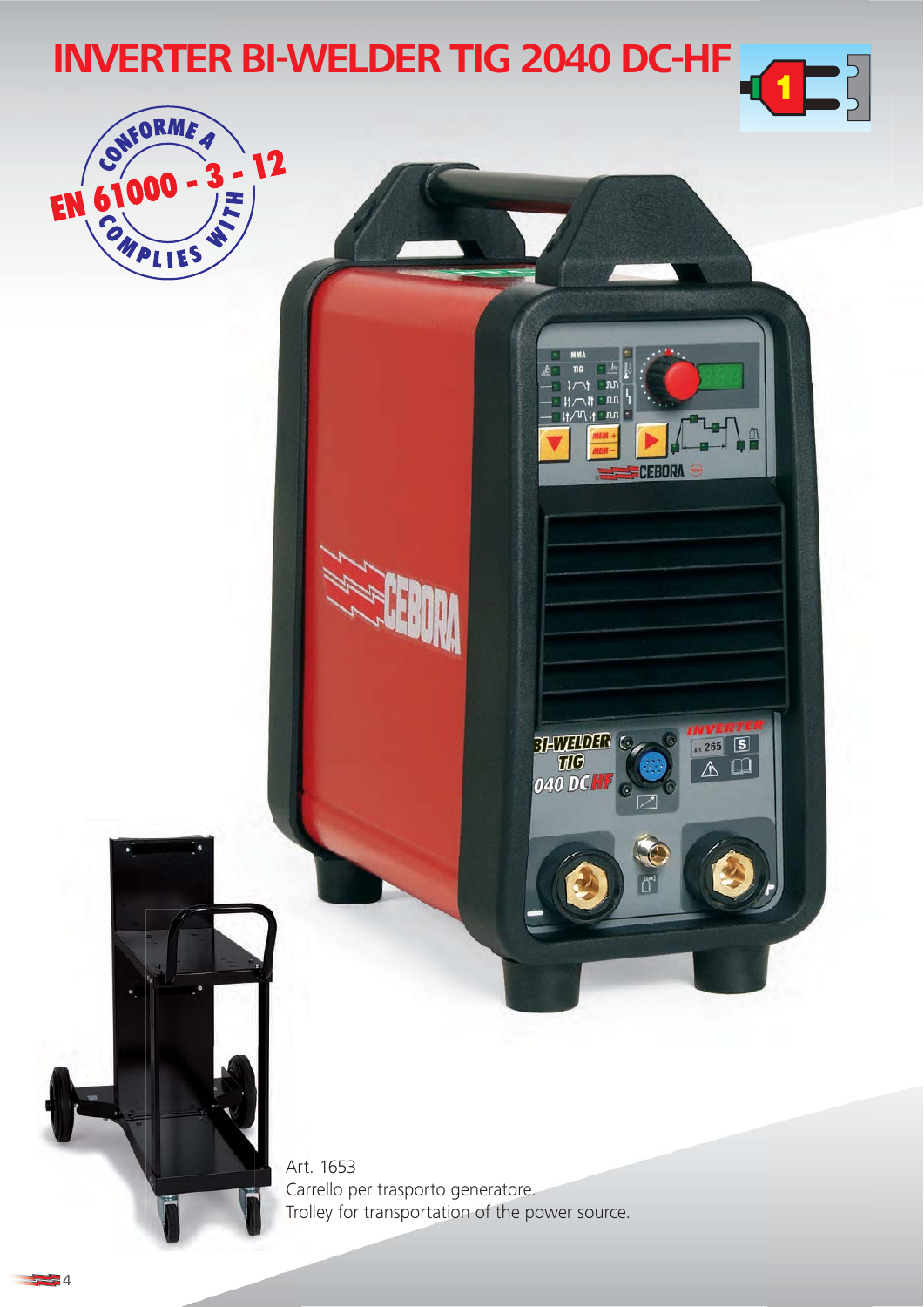

⊿∎